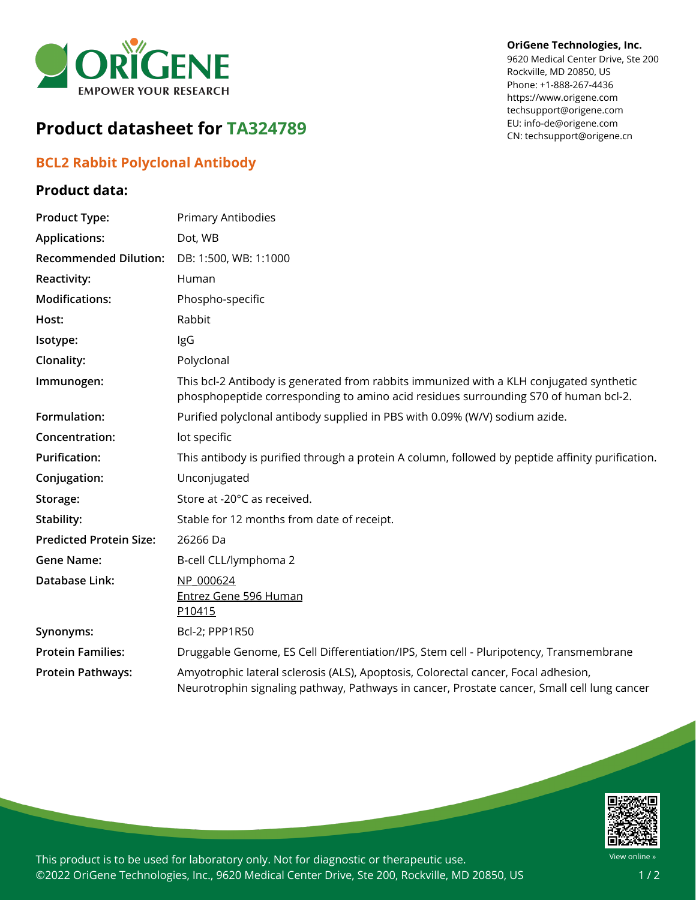

#### **OriGene Technologies, Inc.**

9620 Medical Center Drive, Ste 200 Rockville, MD 20850, US Phone: +1-888-267-4436 https://www.origene.com techsupport@origene.com EU: info-de@origene.com CN: techsupport@origene.cn

# **Product datasheet for TA324789**

# **BCL2 Rabbit Polyclonal Antibody**

## **Product data:**

| <b>Product Type:</b>           | Primary Antibodies                                                                                                                                                                |
|--------------------------------|-----------------------------------------------------------------------------------------------------------------------------------------------------------------------------------|
| <b>Applications:</b>           | Dot, WB                                                                                                                                                                           |
| <b>Recommended Dilution:</b>   | DB: 1:500, WB: 1:1000                                                                                                                                                             |
| Reactivity:                    | Human                                                                                                                                                                             |
| <b>Modifications:</b>          | Phospho-specific                                                                                                                                                                  |
| Host:                          | Rabbit                                                                                                                                                                            |
| Isotype:                       | IgG                                                                                                                                                                               |
| Clonality:                     | Polyclonal                                                                                                                                                                        |
| Immunogen:                     | This bcl-2 Antibody is generated from rabbits immunized with a KLH conjugated synthetic<br>phosphopeptide corresponding to amino acid residues surrounding S70 of human bcl-2.    |
| Formulation:                   | Purified polyclonal antibody supplied in PBS with 0.09% (W/V) sodium azide.                                                                                                       |
| Concentration:                 | lot specific                                                                                                                                                                      |
| <b>Purification:</b>           | This antibody is purified through a protein A column, followed by peptide affinity purification.                                                                                  |
| Conjugation:                   | Unconjugated                                                                                                                                                                      |
| Storage:                       | Store at -20°C as received.                                                                                                                                                       |
| Stability:                     | Stable for 12 months from date of receipt.                                                                                                                                        |
| <b>Predicted Protein Size:</b> | 26266 Da                                                                                                                                                                          |
| <b>Gene Name:</b>              | B-cell CLL/lymphoma 2                                                                                                                                                             |
| <b>Database Link:</b>          | NP 000624<br><b>Entrez Gene 596 Human</b><br>P <sub>10415</sub>                                                                                                                   |
| Synonyms:                      | Bcl-2; PPP1R50                                                                                                                                                                    |
| <b>Protein Families:</b>       | Druggable Genome, ES Cell Differentiation/IPS, Stem cell - Pluripotency, Transmembrane                                                                                            |
| <b>Protein Pathways:</b>       | Amyotrophic lateral sclerosis (ALS), Apoptosis, Colorectal cancer, Focal adhesion,<br>Neurotrophin signaling pathway, Pathways in cancer, Prostate cancer, Small cell lung cancer |



This product is to be used for laboratory only. Not for diagnostic or therapeutic use. ©2022 OriGene Technologies, Inc., 9620 Medical Center Drive, Ste 200, Rockville, MD 20850, US